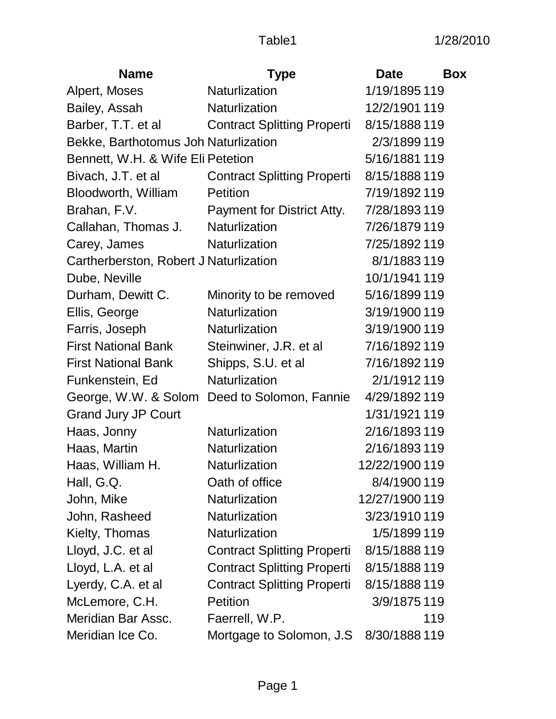| <b>Name</b>                            | <b>Type</b>                        | <b>Date</b>    | <b>Box</b> |
|----------------------------------------|------------------------------------|----------------|------------|
| Alpert, Moses                          | Naturlization                      | 1/19/1895 119  |            |
| Bailey, Assah                          | Naturlization                      | 12/2/1901 119  |            |
| Barber, T.T. et al                     | <b>Contract Splitting Properti</b> | 8/15/1888 119  |            |
| Bekke, Barthotomus Joh Naturlization   |                                    | 2/3/1899 119   |            |
| Bennett, W.H. & Wife Eli Petetion      |                                    | 5/16/1881 119  |            |
| Bivach, J.T. et al                     | <b>Contract Splitting Properti</b> | 8/15/1888 119  |            |
| Bloodworth, William                    | <b>Petition</b>                    | 7/19/1892 119  |            |
| Brahan, F.V.                           | Payment for District Atty.         | 7/28/1893 119  |            |
| Callahan, Thomas J.                    | Naturlization                      | 7/26/1879 119  |            |
| Carey, James                           | Naturlization                      | 7/25/1892 119  |            |
| Cartherberston, Robert J Naturlization |                                    | 8/1/1883 119   |            |
| Dube, Neville                          |                                    | 10/1/1941 119  |            |
| Durham, Dewitt C.                      | Minority to be removed             | 5/16/1899 119  |            |
| Ellis, George                          | <b>Naturlization</b>               | 3/19/1900 119  |            |
| Farris, Joseph                         | Naturlization                      | 3/19/1900 119  |            |
| <b>First National Bank</b>             | Steinwiner, J.R. et al             | 7/16/1892 119  |            |
| <b>First National Bank</b>             | Shipps, S.U. et al.                | 7/16/1892 119  |            |
| Funkenstein, Ed                        | <b>Naturlization</b>               | 2/1/1912 119   |            |
| George, W.W. & Solom                   | Deed to Solomon, Fannie            | 4/29/1892 119  |            |
| <b>Grand Jury JP Court</b>             |                                    | 1/31/1921 119  |            |
| Haas, Jonny                            | Naturlization                      | 2/16/1893 119  |            |
| Haas, Martin                           | Naturlization                      | 2/16/1893 119  |            |
| Haas, William H.                       | Naturlization                      | 12/22/1900 119 |            |
| Hall, G.Q.                             | Oath of office                     | 8/4/1900 119   |            |
| John, Mike                             | Naturlization                      | 12/27/1900 119 |            |
| John, Rasheed                          | Naturlization                      | 3/23/1910 119  |            |
| Kielty, Thomas                         | Naturlization                      | 1/5/1899 119   |            |
| Lloyd, J.C. et al                      | <b>Contract Splitting Properti</b> | 8/15/1888 119  |            |
| Lloyd, L.A. et al                      | <b>Contract Splitting Properti</b> | 8/15/1888 119  |            |
| Lyerdy, C.A. et al                     | <b>Contract Splitting Properti</b> | 8/15/1888 119  |            |
| McLemore, C.H.                         | <b>Petition</b>                    | 3/9/1875 119   |            |
| Meridian Bar Assc.                     | Faerrell, W.P.                     |                | 119        |
| Meridian Ice Co.                       | Mortgage to Solomon, J.S.          | 8/30/1888 119  |            |